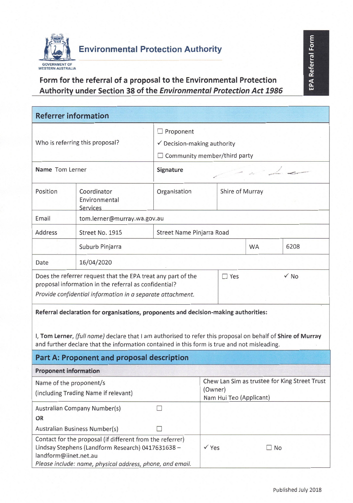

## Form for the referral of a proposal to the Environmental Protection Authority under Section 38 of the Environmental Protection Act 1986

| <b>Referrer information</b>                                                                                                                                                                                                                                                                                                                                                                                                                                                                                           |                                          |                                                                                                   |                                                                                     |  |           |           |
|-----------------------------------------------------------------------------------------------------------------------------------------------------------------------------------------------------------------------------------------------------------------------------------------------------------------------------------------------------------------------------------------------------------------------------------------------------------------------------------------------------------------------|------------------------------------------|---------------------------------------------------------------------------------------------------|-------------------------------------------------------------------------------------|--|-----------|-----------|
| Who is referring this proposal?                                                                                                                                                                                                                                                                                                                                                                                                                                                                                       |                                          | $\Box$ Proponent<br>$\checkmark$ Decision-making authority<br>$\Box$ Community member/third party |                                                                                     |  |           |           |
| Name Tom Lerner                                                                                                                                                                                                                                                                                                                                                                                                                                                                                                       |                                          | Signature                                                                                         |                                                                                     |  |           |           |
| Position                                                                                                                                                                                                                                                                                                                                                                                                                                                                                                              | Coordinator<br>Environmental<br>Services | Organisation                                                                                      | Shire of Murray                                                                     |  |           |           |
| Email                                                                                                                                                                                                                                                                                                                                                                                                                                                                                                                 | tom.lerner@murray.wa.gov.au              |                                                                                                   |                                                                                     |  |           |           |
| Address                                                                                                                                                                                                                                                                                                                                                                                                                                                                                                               | Street No. 1915                          | Street Name Pinjarra Road                                                                         |                                                                                     |  |           |           |
|                                                                                                                                                                                                                                                                                                                                                                                                                                                                                                                       | Suburb Pinjarra                          |                                                                                                   |                                                                                     |  | <b>WA</b> | 6208      |
| Date                                                                                                                                                                                                                                                                                                                                                                                                                                                                                                                  | 16/04/2020                               |                                                                                                   |                                                                                     |  |           |           |
| $\sqrt{NQ}$<br>Does the referrer request that the EPA treat any part of the<br>$\Box$ Yes<br>proposal information in the referral as confidential?<br>Provide confidential information in a separate attachment.<br>Referral declaration for organisations, proponents and decision-making authorities:<br>I, Tom Lerner, (full name) declare that I am authorised to refer this proposal on behalf of Shire of Murray<br>and further declare that the information contained in this form is true and not misleading. |                                          |                                                                                                   |                                                                                     |  |           |           |
| Part A: Proponent and proposal description                                                                                                                                                                                                                                                                                                                                                                                                                                                                            |                                          |                                                                                                   |                                                                                     |  |           |           |
| <b>Proponent information</b>                                                                                                                                                                                                                                                                                                                                                                                                                                                                                          |                                          |                                                                                                   |                                                                                     |  |           |           |
| Name of the proponent/s<br>(including Trading Name if relevant)                                                                                                                                                                                                                                                                                                                                                                                                                                                       |                                          |                                                                                                   | Chew Lan Sim as trustee for King Street Trust<br>(Owner)<br>Nam Hui Teo (Applicant) |  |           |           |
| Australian Company Number(s)<br>OR<br>Australian Business Number(s)                                                                                                                                                                                                                                                                                                                                                                                                                                                   |                                          | П                                                                                                 |                                                                                     |  |           |           |
| Contact for the proposal (if different from the referrer)<br>Lindsay Stephens (Landform Research) 0417631638 -<br>landform@iinet.net.au<br>Please include: name, physical address, phone, and email.                                                                                                                                                                                                                                                                                                                  |                                          |                                                                                                   | $\sqrt{Y}$ es                                                                       |  |           | $\Box$ No |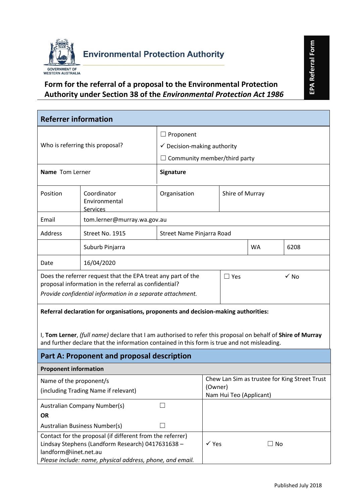

## **Form for the referral of a proposal to the Environmental Protection Authority under Section 38 of the** *Environmental Protection Act 1986*

|                                                                                                                                                                                                            | <b>Environmental Protection Authority</b>                           |                                        |                                               |  |           | EPA Referral Form |  |
|------------------------------------------------------------------------------------------------------------------------------------------------------------------------------------------------------------|---------------------------------------------------------------------|----------------------------------------|-----------------------------------------------|--|-----------|-------------------|--|
| <b>WESTERN AUSTRALIA</b>                                                                                                                                                                                   |                                                                     |                                        |                                               |  |           |                   |  |
|                                                                                                                                                                                                            | Form for the referral of a proposal to the Environmental Protection |                                        |                                               |  |           |                   |  |
|                                                                                                                                                                                                            | Authority under Section 38 of the Environmental Protection Act 1986 |                                        |                                               |  |           |                   |  |
|                                                                                                                                                                                                            |                                                                     |                                        |                                               |  |           |                   |  |
| <b>Referrer information</b>                                                                                                                                                                                |                                                                     |                                        |                                               |  |           |                   |  |
|                                                                                                                                                                                                            |                                                                     | $\Box$ Proponent                       |                                               |  |           |                   |  |
|                                                                                                                                                                                                            | Who is referring this proposal?                                     | $\checkmark$ Decision-making authority |                                               |  |           |                   |  |
|                                                                                                                                                                                                            |                                                                     | $\Box$ Community member/third party    |                                               |  |           |                   |  |
| Name Tom Lerner                                                                                                                                                                                            |                                                                     | Signature                              |                                               |  |           |                   |  |
| Position                                                                                                                                                                                                   | Coordinator<br>Environmental<br><b>Services</b>                     | Organisation                           | Shire of Murray                               |  |           |                   |  |
| Email                                                                                                                                                                                                      | tom.lerner@murray.wa.gov.au                                         |                                        |                                               |  |           |                   |  |
| Address                                                                                                                                                                                                    | Street No. 1915                                                     | Street Name Pinjarra Road              |                                               |  |           |                   |  |
|                                                                                                                                                                                                            | Suburb Pinjarra                                                     |                                        |                                               |  | <b>WA</b> | 6208              |  |
| Date                                                                                                                                                                                                       | 16/04/2020                                                          |                                        |                                               |  |           |                   |  |
| Does the referrer request that the EPA treat any part of the<br>proposal information in the referral as confidential?<br>Provide confidential information in a separate attachment.                        |                                                                     |                                        | $\checkmark$ No<br>$\Box$ Yes                 |  |           |                   |  |
| Referral declaration for organisations, proponents and decision-making authorities:                                                                                                                        |                                                                     |                                        |                                               |  |           |                   |  |
| I, Tom Lerner, (full name) declare that I am authorised to refer this proposal on behalf of Shire of Murray<br>and further declare that the information contained in this form is true and not misleading. |                                                                     |                                        |                                               |  |           |                   |  |
|                                                                                                                                                                                                            | Part A: Proponent and proposal description                          |                                        |                                               |  |           |                   |  |
| <b>Proponent information</b>                                                                                                                                                                               |                                                                     |                                        |                                               |  |           |                   |  |
| Name of the proponent/s                                                                                                                                                                                    |                                                                     |                                        | Chew Lan Sim as trustee for King Street Trust |  |           |                   |  |
| (including Trading Name if relevant)                                                                                                                                                                       |                                                                     |                                        | (Owner)<br>Nam Hui Teo (Applicant)            |  |           |                   |  |
| <b>Australian Company Number(s)</b><br><b>OR</b>                                                                                                                                                           |                                                                     |                                        |                                               |  |           |                   |  |
| <b>Australian Business Number(s)</b>                                                                                                                                                                       |                                                                     |                                        |                                               |  |           |                   |  |
| Contact for the proposal (if different from the referrer)<br>Lindsay Stephens (Landform Research) 0417631638 -<br>landform@iinet.net.au<br>Please include: name, physical address, phone, and email.       |                                                                     |                                        | $\checkmark$ Yes                              |  | $\Box$ No |                   |  |
| Published July 2018                                                                                                                                                                                        |                                                                     |                                        |                                               |  |           |                   |  |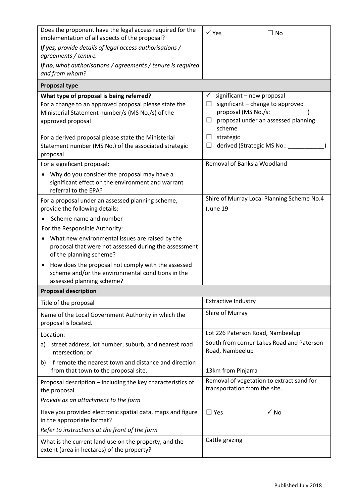| Does the proponent have the legal access required for the<br>implementation of all aspects of the proposal?                                                                                                                                                                                            | $\checkmark$ Yes<br>$\Box$ No                                                                                                                                                                                                    |
|--------------------------------------------------------------------------------------------------------------------------------------------------------------------------------------------------------------------------------------------------------------------------------------------------------|----------------------------------------------------------------------------------------------------------------------------------------------------------------------------------------------------------------------------------|
| If yes, provide details of legal access authorisations /<br>agreements / tenure.                                                                                                                                                                                                                       |                                                                                                                                                                                                                                  |
| If no, what authorisations / agreements / tenure is required<br>and from whom?                                                                                                                                                                                                                         |                                                                                                                                                                                                                                  |
| <b>Proposal type</b>                                                                                                                                                                                                                                                                                   |                                                                                                                                                                                                                                  |
| What type of proposal is being referred?<br>For a change to an approved proposal please state the<br>Ministerial Statement number/s (MS No./s) of the<br>approved proposal<br>For a derived proposal please state the Ministerial<br>Statement number (MS No.) of the associated strategic<br>proposal | $\checkmark$ significant – new proposal<br>significant - change to approved<br>□.<br>proposal (MS No./s: ____<br>proposal under an assessed planning<br>$\Box$<br>scheme<br>strategic<br>ш.<br>derived (Strategic MS No.: _<br>ш |
| For a significant proposal:                                                                                                                                                                                                                                                                            | Removal of Banksia Woodland                                                                                                                                                                                                      |
| Why do you consider the proposal may have a<br>significant effect on the environment and warrant<br>referral to the EPA?                                                                                                                                                                               |                                                                                                                                                                                                                                  |
| For a proposal under an assessed planning scheme,<br>provide the following details:                                                                                                                                                                                                                    | Shire of Murray Local Planning Scheme No.4<br>(June 19                                                                                                                                                                           |
| Scheme name and number                                                                                                                                                                                                                                                                                 |                                                                                                                                                                                                                                  |
| For the Responsible Authority:                                                                                                                                                                                                                                                                         |                                                                                                                                                                                                                                  |
| What new environmental issues are raised by the<br>proposal that were not assessed during the assessment<br>of the planning scheme?                                                                                                                                                                    |                                                                                                                                                                                                                                  |
| How does the proposal not comply with the assessed<br>$\bullet$<br>scheme and/or the environmental conditions in the<br>assessed planning scheme?                                                                                                                                                      |                                                                                                                                                                                                                                  |
| <b>Proposal description</b>                                                                                                                                                                                                                                                                            |                                                                                                                                                                                                                                  |
| Title of the proposal                                                                                                                                                                                                                                                                                  | <b>Extractive Industry</b>                                                                                                                                                                                                       |
| Name of the Local Government Authority in which the<br>proposal is located.                                                                                                                                                                                                                            | Shire of Murray                                                                                                                                                                                                                  |
| Location:                                                                                                                                                                                                                                                                                              | Lot 226 Paterson Road, Nambeelup                                                                                                                                                                                                 |
| street address, lot number, suburb, and nearest road<br>a)<br>intersection; or                                                                                                                                                                                                                         | South from corner Lakes Road and Paterson<br>Road, Nambeelup                                                                                                                                                                     |
| if remote the nearest town and distance and direction<br>b)<br>from that town to the proposal site.                                                                                                                                                                                                    | 13km from Pinjarra                                                                                                                                                                                                               |
| Proposal description - including the key characteristics of<br>the proposal                                                                                                                                                                                                                            | Removal of vegetation to extract sand for<br>transportation from the site.                                                                                                                                                       |
| Provide as an attachment to the form                                                                                                                                                                                                                                                                   |                                                                                                                                                                                                                                  |
| Have you provided electronic spatial data, maps and figure<br>in the appropriate format?                                                                                                                                                                                                               | $\checkmark$ No<br>$\Box$ Yes                                                                                                                                                                                                    |
| Refer to instructions at the front of the form                                                                                                                                                                                                                                                         |                                                                                                                                                                                                                                  |
| What is the current land use on the property, and the<br>extent (area in hectares) of the property?                                                                                                                                                                                                    | Cattle grazing                                                                                                                                                                                                                   |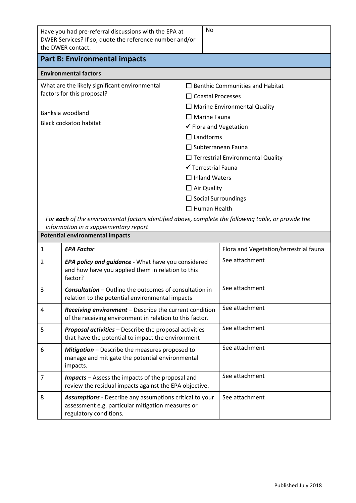| Have you had pre-referral discussions with the EPA at<br>DWER Services? If so, quote the reference number and/or<br>the DWER contact. | No                                                                                                   |  |  |  |  |
|---------------------------------------------------------------------------------------------------------------------------------------|------------------------------------------------------------------------------------------------------|--|--|--|--|
| <b>Part B: Environmental impacts</b>                                                                                                  |                                                                                                      |  |  |  |  |
| <b>Environmental factors</b>                                                                                                          |                                                                                                      |  |  |  |  |
| What are the likely significant environmental<br>factors for this proposal?                                                           | $\Box$ Benthic Communities and Habitat<br>$\Box$ Coastal Processes                                   |  |  |  |  |
| Banksia woodland                                                                                                                      | $\Box$ Marine Environmental Quality                                                                  |  |  |  |  |
| Black cockatoo habitat                                                                                                                | $\Box$ Marine Fauna<br>✔ Flora and Vegetation                                                        |  |  |  |  |
|                                                                                                                                       | $\Box$ Landforms                                                                                     |  |  |  |  |
|                                                                                                                                       | $\Box$ Subterranean Fauna                                                                            |  |  |  |  |
|                                                                                                                                       | $\Box$ Terrestrial Environmental Quality                                                             |  |  |  |  |
|                                                                                                                                       | ✔ Terrestrial Fauna                                                                                  |  |  |  |  |
|                                                                                                                                       | $\Box$ Inland Waters                                                                                 |  |  |  |  |
|                                                                                                                                       | $\Box$ Air Quality                                                                                   |  |  |  |  |
|                                                                                                                                       | $\Box$ Social Surroundings                                                                           |  |  |  |  |
|                                                                                                                                       | $\Box$ Human Health                                                                                  |  |  |  |  |
| information in a supplementary report                                                                                                 | For each of the environmental factors identified above, complete the following table, or provide the |  |  |  |  |
| <b>Potential environmental impacts</b>                                                                                                |                                                                                                      |  |  |  |  |

| $\mathbf{1}$  | <b>EPA Factor</b>                                                                                                                             | Flora and Vegetation/terrestrial fauna |
|---------------|-----------------------------------------------------------------------------------------------------------------------------------------------|----------------------------------------|
| $\mathcal{P}$ | <b>EPA policy and guidance</b> - What have you considered<br>and how have you applied them in relation to this<br>factor?                     | See attachment                         |
| 3             | <b>Consultation</b> – Outline the outcomes of consultation in<br>relation to the potential environmental impacts                              | See attachment                         |
| 4             | Receiving environment - Describe the current condition<br>of the receiving environment in relation to this factor.                            | See attachment                         |
| 5             | <b>Proposal activities</b> - Describe the proposal activities<br>that have the potential to impact the environment                            | See attachment                         |
| 6             | <b>Mitigation</b> – Describe the measures proposed to<br>manage and mitigate the potential environmental<br>impacts.                          | See attachment                         |
| 7             | <b>Impacts</b> – Assess the impacts of the proposal and<br>review the residual impacts against the EPA objective.                             | See attachment                         |
| 8             | <b>Assumptions</b> - Describe any assumptions critical to your<br>assessment e.g. particular mitigation measures or<br>regulatory conditions. | See attachment                         |